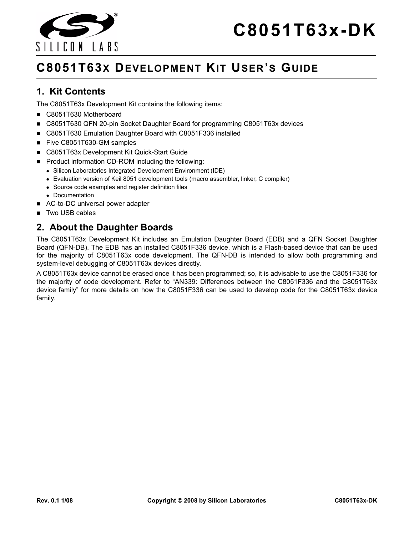



# **1. Kit Contents**

SILICON LARS

The C8051T63x Development Kit contains the following items:

- C8051T630 Motherboard
- C8051T630 QFN 20-pin Socket Daughter Board for programming C8051T63x devices
- C8051T630 Emulation Daughter Board with C8051F336 installed
- Five C8051T630-GM samples
- C8051T63x Development Kit Quick-Start Guide
- Product information CD-ROM including the following:
	- Silicon Laboratories Integrated Development Environment (IDE)
	- Evaluation version of Keil 8051 development tools (macro assembler, linker, C compiler)
	- Source code examples and register definition files
	- Documentation
- AC-to-DC universal power adapter
- Two USB cables

# **2. About the Daughter Boards**

The C8051T63x Development Kit includes an Emulation Daughter Board (EDB) and a QFN Socket Daughter Board (QFN-DB). The EDB has an installed C8051F336 device, which is a Flash-based device that can be used for the majority of C8051T63x code development. The QFN-DB is intended to allow both programming and system-level debugging of C8051T63x devices directly.

A C8051T63x device cannot be erased once it has been programmed; so, it is advisable to use the C8051F336 for the majority of code development. Refer to "AN339: Differences between the C8051F336 and the C8051T63x device family" for more details on how the C8051F336 can be used to develop code for the C8051T63x device family.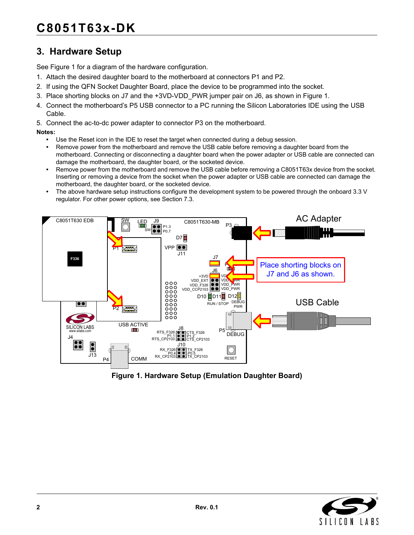# **3. Hardware Setup**

See [Figure 1](#page-1-0) for a diagram of the hardware configuration.

- 1. Attach the desired daughter board to the motherboard at connectors P1 and P2.
- 2. If using the QFN Socket Daughter Board, place the device to be programmed into the socket.
- 3. Place shorting blocks on J7 and the +3VD-VDD\_PWR jumper pair on J6, as shown in [Figure 1](#page-1-0).
- 4. Connect the motherboard's P5 USB connector to a PC running the Silicon Laboratories IDE using the USB Cable.
- 5. Connect the ac-to-dc power adapter to connector P3 on the motherboard.

**Notes:**

- **•** Use the Reset icon in the IDE to reset the target when connected during a debug session.
- Remove power from the motherboard and remove the USB cable before removing a daughter board from the motherboard. Connecting or disconnecting a daughter board when the power adapter or USB cable are connected can damage the motherboard, the daughter board, or the socketed device.
- Remove power from the motherboard and remove the USB cable before removing a C8051T63x device from the socket. Inserting or removing a device from the socket when the power adapter or USB cable are connected can damage the motherboard, the daughter board, or the socketed device.
- The above hardware setup instructions configure the development system to be powered through the onboard 3.3 V regulator. For other power options, see [Section 7.3.](#page-11-0)



<span id="page-1-0"></span>**Figure 1. Hardware Setup (Emulation Daughter Board)**

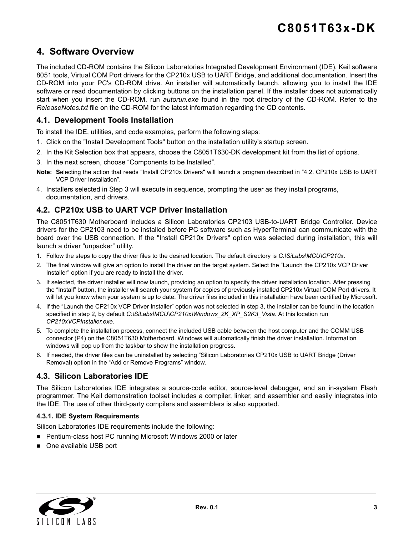# **4. Software Overview**

The included CD-ROM contains the Silicon Laboratories Integrated Development Environment (IDE), Keil software 8051 tools, Virtual COM Port drivers for the CP210x USB to UART Bridge, and additional documentation. Insert the CD-ROM into your PC's CD-ROM drive. An installer will automatically launch, allowing you to install the IDE software or read documentation by clicking buttons on the installation panel. If the installer does not automatically start when you insert the CD-ROM, run *autorun.exe* found in the root directory of the CD-ROM. Refer to the *ReleaseNotes.txt* file on the CD-ROM for the latest information regarding the CD contents.

#### **4.1. Development Tools Installation**

To install the IDE, utilities, and code examples, perform the following steps:

- 1. Click on the "Install Development Tools" button on the installation utility's startup screen.
- 2. In the Kit Selection box that appears, choose the C8051T630-DK development kit from the list of options.
- 3. In the next screen, choose "Components to be Installed".
- **Note: S**electing the action that reads "Install CP210x Drivers" will launch a program described in ["4.2. CP210x USB to UART](#page-2-0) [VCP Driver Installation"](#page-2-0).
- 4. Installers selected in Step 3 will execute in sequence, prompting the user as they install programs, documentation, and drivers.

#### <span id="page-2-0"></span>**4.2. CP210x USB to UART VCP Driver Installation**

The C8051T630 Motherboard includes a Silicon Laboratories CP2103 USB-to-UART Bridge Controller. Device drivers for the CP2103 need to be installed before PC software such as HyperTerminal can communicate with the board over the USB connection. If the "Install CP210x Drivers" option was selected during installation, this will launch a driver "unpacker" utility.

- 1. Follow the steps to copy the driver files to the desired location. The default directory is *C:\SiLabs\MCU\CP210x*.
- 2. The final window will give an option to install the driver on the target system. Select the "Launch the CP210x VCP Driver Installer" option if you are ready to install the driver.
- 3. If selected, the driver installer will now launch, providing an option to specify the driver installation location. After pressing the "Install" button, the installer will search your system for copies of previously installed CP210x Virtual COM Port drivers. It will let you know when your system is up to date. The driver files included in this installation have been certified by Microsoft.
- 4. If the "Launch the CP210x VCP Driver Installer" option was not selected in step 3, the installer can be found in the location specified in step 2, by default *C:\SiLabs\MCU\CP210x\Windows\_2K\_XP\_S2K3\_Vista*. At this location run *CP210xVCPInstaller.exe*.
- 5. To complete the installation process, connect the included USB cable between the host computer and the COMM USB connector (P4) on the C8051T630 Motherboard. Windows will automatically finish the driver installation. Information windows will pop up from the taskbar to show the installation progress.
- 6. If needed, the driver files can be uninstalled by selecting "Silicon Laboratories CP210x USB to UART Bridge (Driver Removal) option in the "Add or Remove Programs" window.

#### **4.3. Silicon Laboratories IDE**

The Silicon Laboratories IDE integrates a source-code editor, source-level debugger, and an in-system Flash programmer. The Keil demonstration toolset includes a compiler, linker, and assembler and easily integrates into the IDE. The use of other third-party compilers and assemblers is also supported.

#### **4.3.1. IDE System Requirements**

Silicon Laboratories IDE requirements include the following:

- Pentium-class host PC running Microsoft Windows 2000 or later
- One available USB port

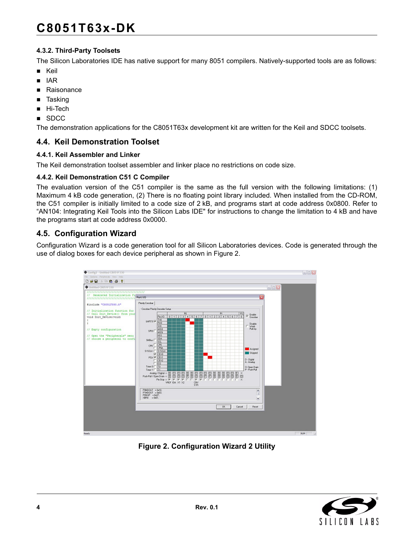# **C8051T63x-DK**

#### **4.3.2. Third-Party Toolsets**

The Silicon Laboratories IDE has native support for many 8051 compilers. Natively-supported tools are as follows:

- Keil
- $IAR$
- **Raisonance**
- **Tasking**
- Hi-Tech
- SDCC

The demonstration applications for the C8051T63x development kit are written for the Keil and SDCC toolsets.

#### **4.4. Keil Demonstration Toolset**

#### **4.4.1. Keil Assembler and Linker**

The Keil demonstration toolset assembler and linker place no restrictions on code size.

#### **4.4.2. Keil Demonstration C51 C Compiler**

The evaluation version of the C51 compiler is the same as the full version with the following limitations: (1) Maximum 4 kB code generation, (2) There is no floating point library included. When installed from the CD-ROM, the C51 compiler is initially limited to a code size of 2 kB, and programs start at code address 0x0800. Refer to "AN104: Integrating Keil Tools into the Silicon Labs IDE" for instructions to change the limitation to 4 kB and have the programs start at code address 0x0000.

### **4.5. Configuration Wizard**

Configuration Wizard is a code generation tool for all Silicon Laboratories devices. Code is generated through the use of dialog boxes for each device peripheral as shown in [Figure 2.](#page-3-0)



<span id="page-3-0"></span>**Figure 2. Configuration Wizard 2 Utility**

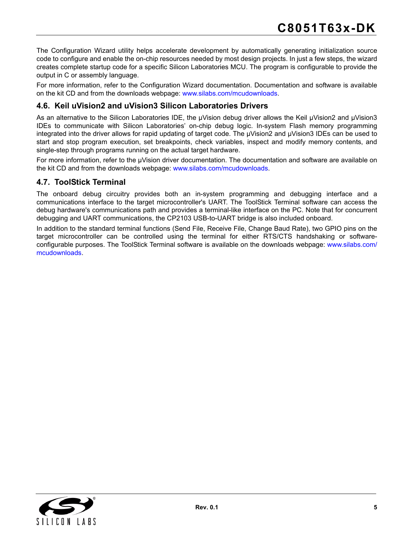The Configuration Wizard utility helps accelerate development by automatically generating initialization source code to configure and enable the on-chip resources needed by most design projects. In just a few steps, the wizard creates complete startup code for a specific Silicon Laboratories MCU. The program is configurable to provide the output in C or assembly language.

For more information, refer to the Configuration Wizard documentation. Documentation and software is available on the kit CD and from the downloads webpage: [www.silabs.com/mcudownloads](http://www.silabs.com/mcudownloads).

#### **4.6. Keil uVision2 and uVision3 Silicon Laboratories Drivers**

As an alternative to the Silicon Laboratories IDE, the µVision debug driver allows the Keil µVision2 and µVision3 IDEs to communicate with Silicon Laboratories' on-chip debug logic. In-system Flash memory programming integrated into the driver allows for rapid updating of target code. The µVision2 and µVision3 IDEs can be used to start and stop program execution, set breakpoints, check variables, inspect and modify memory contents, and single-step through programs running on the actual target hardware.

For more information, refer to the µVision driver documentation. The documentation and software are available on the kit CD and from the downloads webpage: [www.silabs.com/mcudownloads.](http://www.silabs.com/mcudownloads)

#### **4.7. ToolStick Terminal**

The onboard debug circuitry provides both an in-system programming and debugging interface and a communications interface to the target microcontroller's UART. The ToolStick Terminal software can access the debug hardware's communications path and provides a terminal-like interface on the PC. Note that for concurrent debugging and UART communications, the CP2103 USB-to-UART bridge is also included onboard.

In addition to the standard terminal functions (Send File, Receive File, Change Baud Rate), two GPIO pins on the target microcontroller can be controlled using the terminal for either RTS/CTS handshaking or softwareconfigurable purposes. The ToolStick Terminal software is available on the downloads webpage: [www.silabs.com/](http://www.silabs.com/mcudownloads) [mcudownloads.](http://www.silabs.com/mcudownloads)

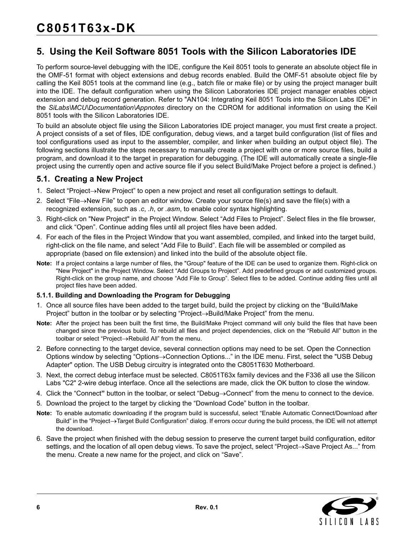# **5. Using the Keil Software 8051 Tools with the Silicon Laboratories IDE**

To perform source-level debugging with the IDE, configure the Keil 8051 tools to generate an absolute object file in the OMF-51 format with object extensions and debug records enabled. Build the OMF-51 absolute object file by calling the Keil 8051 tools at the command line (e.g., batch file or make file) or by using the project manager built into the IDE. The default configuration when using the Silicon Laboratories IDE project manager enables object extension and debug record generation. Refer to "AN104: Integrating Keil 8051 Tools into the Silicon Labs IDE" in the *SiLabs\MCU\Documentation\Appnotes* directory on the CDROM for additional information on using the Keil 8051 tools with the Silicon Laboratories IDE.

To build an absolute object file using the Silicon Laboratories IDE project manager, you must first create a project. A project consists of a set of files, IDE configuration, debug views, and a target build configuration (list of files and tool configurations used as input to the assembler, compiler, and linker when building an output object file). The following sections illustrate the steps necessary to manually create a project with one or more source files, build a program, and download it to the target in preparation for debugging. (The IDE will automatically create a single-file project using the currently open and active source file if you select Build/Make Project before a project is defined.)

### **5.1. Creating a New Project**

- 1. Select "Project→New Project" to open a new project and reset all configuration settings to default.
- 2. Select "File→New File" to open an editor window. Create your source file(s) and save the file(s) with a recognized extension, such as *.c*, *.h*, or *.asm*, to enable color syntax highlighting.
- 3. Right-click on "New Project" in the Project Window. Select "Add Files to Project". Select files in the file browser, and click "Open". Continue adding files until all project files have been added.
- 4. For each of the files in the Project Window that you want assembled, compiled, and linked into the target build, right-click on the file name, and select "Add File to Build". Each file will be assembled or compiled as appropriate (based on file extension) and linked into the build of the absolute object file.
- **Note:** If a project contains a large number of files, the "Group" feature of the IDE can be used to organize them. Right-click on "New Project" in the Project Window. Select "Add Groups to Project". Add predefined groups or add customized groups. Right-click on the group name, and choose "Add File to Group". Select files to be added. Continue adding files until all project files have been added.

#### **5.1.1. Building and Downloading the Program for Debugging**

- 1. Once all source files have been added to the target build, build the project by clicking on the "Build/Make Project" button in the toolbar or by selecting "Project→Build/Make Project" from the menu.
- **Note:** After the project has been built the first time, the Build/Make Project command will only build the files that have been changed since the previous build. To rebuild all files and project dependencies, click on the "Rebuild All" button in the toolbar or select "Project→Rebuild All" from the menu.
- 2. Before connecting to the target device, several connection options may need to be set. Open the Connection Options window by selecting "Options→Connection Options..." in the IDE menu. First, select the "USB Debug Adapter" option. The USB Debug circuitry is integrated onto the C8051T630 Motherboard.
- 3. Next, the correct debug interface must be selected. C8051T63x family devices and the F336 all use the Silicon Labs "C2" 2-wire debug interface. Once all the selections are made, click the OK button to close the window.
- 4. Click the "Connect**"** button in the toolbar, or select "Debug→Connect" from the menu to connect to the device.
- 5. Download the project to the target by clicking the "Download Code" button in the toolbar.
- **Note:** To enable automatic downloading if the program build is successful, select "Enable Automatic Connect/Download after Build" in the "Project→Target Build Configuration" dialog. If errors occur during the build process, the IDE will not attempt the download.
- 6. Save the project when finished with the debug session to preserve the current target build configuration, editor settings, and the location of all open debug views. To save the project, select "Project→Save Project As..." from the menu. Create a new name for the project, and click on "Save".

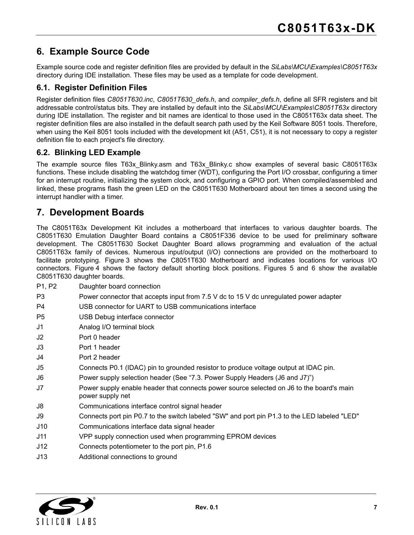# **6. Example Source Code**

Example source code and register definition files are provided by default in the *SiLabs\MCU\Examples\C8051T63x* directory during IDE installation. These files may be used as a template for code development.

#### **6.1. Register Definition Files**

Register definition files *C8051T630.inc*, *C8051T630\_defs.h*, and *compiler\_defs.h*, define all SFR registers and bit addressable control/status bits. They are installed by default into the *SiLabs\MCU\Examples\C8051T63x* directory during IDE installation. The register and bit names are identical to those used in the C8051T63x data sheet. The register definition files are also installed in the default search path used by the Keil Software 8051 tools. Therefore, when using the Keil 8051 tools included with the development kit (A51, C51), it is not necessary to copy a register definition file to each project's file directory.

#### **6.2. Blinking LED Example**

The example source files T63x Blinky.asm and T63x Blinky.c show examples of several basic C8051T63x functions. These include disabling the watchdog timer (WDT), configuring the Port I/O crossbar, configuring a timer for an interrupt routine, initializing the system clock, and configuring a GPIO port. When compiled/assembled and linked, these programs flash the green LED on the C8051T630 Motherboard about ten times a second using the interrupt handler with a timer.

# **7. Development Boards**

The C8051T63x Development Kit includes a motherboard that interfaces to various daughter boards. The C8051T630 Emulation Daughter Board contains a C8051F336 device to be used for preliminary software development. The C8051T630 Socket Daughter Board allows programming and evaluation of the actual C8051T63x family of devices. Numerous input/output (I/O) connections are provided on the motherboard to facilitate prototyping. [Figure 3](#page-7-0) shows the C8051T630 Motherboard and indicates locations for various I/O connectors. [Figure 4](#page-8-0) shows the factory default shorting block positions. Figures [5](#page-9-0) and [6](#page-9-1) show the available C8051T630 daughter boards.

- P1, P2 Daughter board connection
- P3 Power connector that accepts input from 7.5 V dc to 15 V dc unregulated power adapter
- P4 USB connector for UART to USB communications interface
- P5 USB Debug interface connector
- J1 Analog I/O terminal block
- J2 Port 0 header
- J3 Port 1 header
- J4 Port 2 header
- J5 Connects P0.1 (IDAC) pin to grounded resistor to produce voltage output at IDAC pin.
- J6 Power supply selection header (See ["7.3. Power Supply Headers \(J6 and J7\)"\)](#page-11-0)
- J7 Power supply enable header that connects power source selected on J6 to the board's main power supply net
- J8 Communications interface control signal header
- J9 Connects port pin P0.7 to the switch labeled "SW" and port pin P1.3 to the LED labeled "LED"
- J10 Communications interface data signal header
- J11 VPP supply connection used when programming EPROM devices
- J12 Connects potentiometer to the port pin, P1.6
- J13 Additional connections to ground

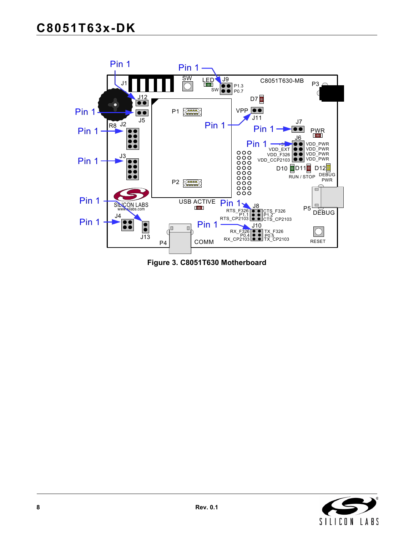

<span id="page-7-0"></span>**Figure 3. C8051T630 Motherboard**

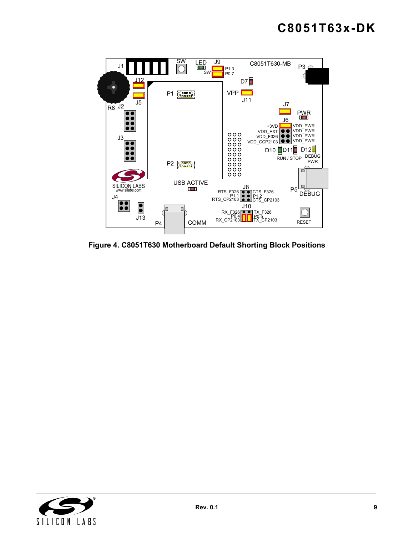

<span id="page-8-0"></span>**Figure 4. C8051T630 Motherboard Default Shorting Block Positions**

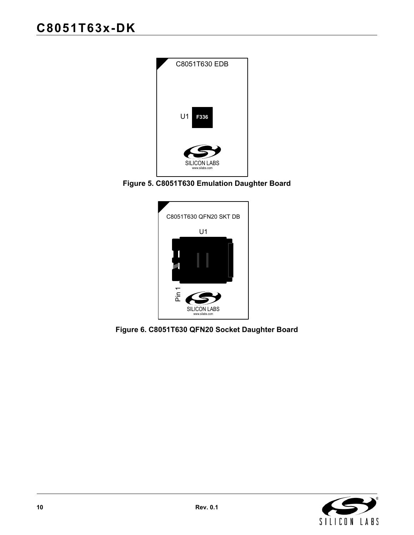

**Figure 5. C8051T630 Emulation Daughter Board**

<span id="page-9-1"></span><span id="page-9-0"></span>

**Figure 6. C8051T630 QFN20 Socket Daughter Board**

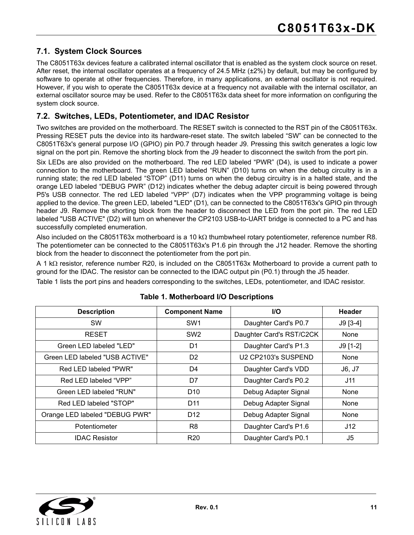# **7.1. System Clock Sources**

The C8051T63x devices feature a calibrated internal oscillator that is enabled as the system clock source on reset. After reset, the internal oscillator operates at a frequency of 24.5 MHz (±2%) by default, but may be configured by software to operate at other frequencies. Therefore, in many applications, an external oscillator is not required. However, if you wish to operate the C8051T63x device at a frequency not available with the internal oscillator, an external oscillator source may be used. Refer to the C8051T63x data sheet for more information on configuring the system clock source.

#### **7.2. Switches, LEDs, Potentiometer, and IDAC Resistor**

Two switches are provided on the motherboard. The RESET switch is connected to the RST pin of the C8051T63x. Pressing RESET puts the device into its hardware-reset state. The switch labeled "SW" can be connected to the C8051T63x's general purpose I/O (GPIO) pin P0.7 through header J9. Pressing this switch generates a logic low signal on the port pin. Remove the shorting block from the J9 header to disconnect the switch from the port pin.

Six LEDs are also provided on the motherboard. The red LED labeled "PWR" (D4), is used to indicate a power connection to the motherboard. The green LED labeled "RUN" (D10) turns on when the debug circuitry is in a running state; the red LED labeled "STOP" (D11) turns on when the debug circuitry is in a halted state, and the orange LED labeled "DEBUG PWR" (D12) indicates whether the debug adapter circuit is being powered through P5's USB connector. The red LED labeled "VPP" (D7) indicates when the VPP programming voltage is being applied to the device. The green LED, labeled "LED" (D1), can be connected to the C8051T63x's GPIO pin through header J9. Remove the shorting block from the header to disconnect the LED from the port pin. The red LED labeled "USB ACTIVE" (D2) will turn on whenever the CP2103 USB-to-UART bridge is connected to a PC and has successfully completed enumeration.

Also included on the C8051T63x motherboard is a 10 kΩ thumbwheel rotary potentiometer, reference number R8. The potentiometer can be connected to the C8051T63x's P1.6 pin through the J12 header. Remove the shorting block from the header to disconnect the potentiometer from the port pin.

A 1 kΩ resistor, reference number R20, is included on the C8051T63x Motherboard to provide a current path to ground for the IDAC. The resistor can be connected to the IDAC output pin (P0.1) through the J5 header.

[Table 1](#page-10-0) lists the port pins and headers corresponding to the switches, LEDs, potentiometer, and IDAC resistor.

<span id="page-10-0"></span>

| <b>Description</b>             | <b>Component Name</b> | <b>I/O</b>               | <b>Header</b> |
|--------------------------------|-----------------------|--------------------------|---------------|
| SW                             | SW <sub>1</sub>       | Daughter Card's P0.7     | $J9 [3-4]$    |
| <b>RESET</b>                   | SW <sub>2</sub>       | Daughter Card's RST/C2CK | None          |
| Green LED labeled "LED"        | D1                    | Daughter Card's P1.3     | $J9$ [1-2]    |
| Green LED labeled "USB ACTIVE" | D <sub>2</sub>        | U2 CP2103's SUSPEND      | None          |
| Red LED labeled "PWR"          | D4                    | Daughter Card's VDD      | J6, J7        |
| Red LED labeled "VPP"          | D7                    | Daughter Card's P0.2     | J11           |
| Green LED labeled "RUN"        | D <sub>10</sub>       | Debug Adapter Signal     | None          |
| Red LED labeled "STOP"         | D <sub>11</sub>       | Debug Adapter Signal     | None          |
| Orange LED labeled "DEBUG PWR" | D <sub>12</sub>       | Debug Adapter Signal     | None          |
| Potentiometer                  | R <sub>8</sub>        | Daughter Card's P1.6     | J12           |
| <b>IDAC Resistor</b>           | R <sub>20</sub>       | Daughter Card's P0.1     | J5            |

#### **Table 1. Motherboard I/O Descriptions**

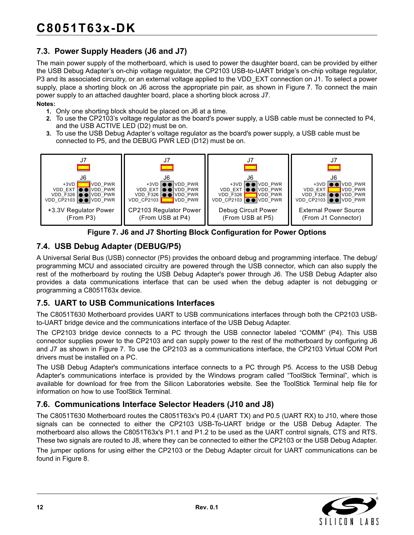# <span id="page-11-0"></span>**7.3. Power Supply Headers (J6 and J7)**

The main power supply of the motherboard, which is used to power the daughter board, can be provided by either the USB Debug Adapter's on-chip voltage regulator, the CP2103 USB-to-UART bridge's on-chip voltage regulator, P3 and its associated circuitry, or an external voltage applied to the VDD\_EXT connection on J1. To select a power supply, place a shorting block on J6 across the appropriate pin pair, as shown in [Figure 7.](#page-11-1) To connect the main power supply to an attached daughter board, place a shorting block across J7. **Notes:**

- **1.** Only one shorting block should be placed on J6 at a time.
- **2.** To use the CP2103's voltage regulator as the board's power supply, a USB cable must be connected to P4, and the USB ACTIVE LED (D2) must be on.
- **3.** To use the USB Debug Adapter's voltage regulator as the board's power supply, a USB cable must be connected to P5, and the DEBUG PWR LED (D12) must be on.





### <span id="page-11-1"></span>**7.4. USB Debug Adapter (DEBUG/P5)**

A Universal Serial Bus (USB) connector (P5) provides the onboard debug and programming interface. The debug/ programming MCU and associated circuitry are powered through the USB connector, which can also supply the rest of the motherboard by routing the USB Debug Adapter's power through J6. The USB Debug Adapter also provides a data communications interface that can be used when the debug adapter is not debugging or programming a C8051T63x device.

#### **7.5. UART to USB Communications Interfaces**

The C8051T630 Motherboard provides UART to USB communications interfaces through both the CP2103 USBto-UART bridge device and the communications interface of the USB Debug Adapter.

The CP2103 bridge device connects to a PC through the USB connector labeled "COMM" (P4). This USB connector supplies power to the CP2103 and can supply power to the rest of the motherboard by configuring J6 and J7 as shown in [Figure 7.](#page-11-1) To use the CP2103 as a communications interface, the CP2103 Virtual COM Port drivers must be installed on a PC.

The USB Debug Adapter's communications interface connects to a PC through P5. Access to the USB Debug Adapter's communications interface is provided by the Windows program called "ToolStick Terminal", which is available for download for free from the Silicon Laboratories website. See the ToolStick Terminal help file for information on how to use ToolStick Terminal.

#### **7.6. Communications Interface Selector Headers (J10 and J8)**

The C8051T630 Motherboard routes the C8051T63x's P0.4 (UART TX) and P0.5 (UART RX) to J10, where those signals can be connected to either the CP2103 USB-To-UART bridge or the USB Debug Adapter. The motherboard also allows the C8051T63x's P1.1 and P1.2 to be used as the UART control signals, CTS and RTS. These two signals are routed to J8, where they can be connected to either the CP2103 or the USB Debug Adapter.

The jumper options for using either the CP2103 or the Debug Adapter circuit for UART communications can be found in [Figure 8](#page-12-0).

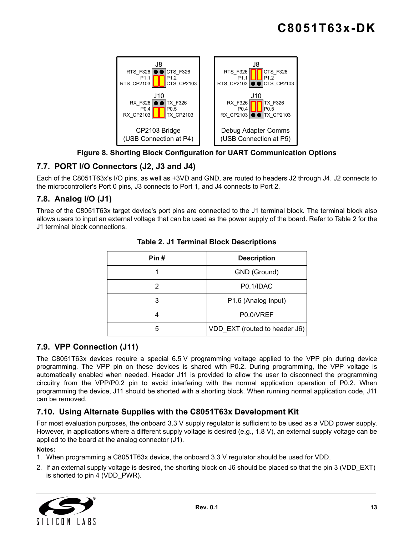

### **Figure 8. Shorting Block Configuration for UART Communication Options**

# <span id="page-12-0"></span>**7.7. PORT I/O Connectors (J2, J3 and J4)**

Each of the C8051T63x's I/O pins, as well as +3VD and GND, are routed to headers J2 through J4. J2 connects to the microcontroller's Port 0 pins, J3 connects to Port 1, and J4 connects to Port 2.

### **7.8. Analog I/O (J1)**

<span id="page-12-1"></span>Three of the C8051T63x target device's port pins are connected to the J1 terminal block. The terminal block also allows users to input an external voltage that can be used as the power supply of the board. Refer to [Table 2](#page-12-1) for the J1 terminal block connections.

| Pin# | <b>Description</b>                 |  |
|------|------------------------------------|--|
|      | GND (Ground)                       |  |
| 2    | P <sub>0.1</sub> /ID <sub>AC</sub> |  |
| 3    | P1.6 (Analog Input)                |  |
| 4    | P0.0/VREF                          |  |
| 5    | VDD_EXT (routed to header J6)      |  |

#### **Table 2. J1 Terminal Block Descriptions**

#### **7.9. VPP Connection (J11)**

The C8051T63x devices require a special 6.5 V programming voltage applied to the VPP pin during device programming. The VPP pin on these devices is shared with P0.2. During programming, the VPP voltage is automatically enabled when needed. Header J11 is provided to allow the user to disconnect the programming circuitry from the VPP/P0.2 pin to avoid interfering with the normal application operation of P0.2. When programming the device, J11 should be shorted with a shorting block. When running normal application code, J11 can be removed.

### **7.10. Using Alternate Supplies with the C8051T63x Development Kit**

For most evaluation purposes, the onboard 3.3 V supply regulator is sufficient to be used as a VDD power supply. However, in applications where a different supply voltage is desired (e.g., 1.8 V), an external supply voltage can be applied to the board at the analog connector (J1).

#### **Notes:**

- 1. When programming a C8051T63x device, the onboard 3.3 V regulator should be used for VDD.
- 2. If an external supply voltage is desired, the shorting block on J6 should be placed so that the pin 3 (VDD\_EXT) is shorted to pin 4 (VDD\_PWR).

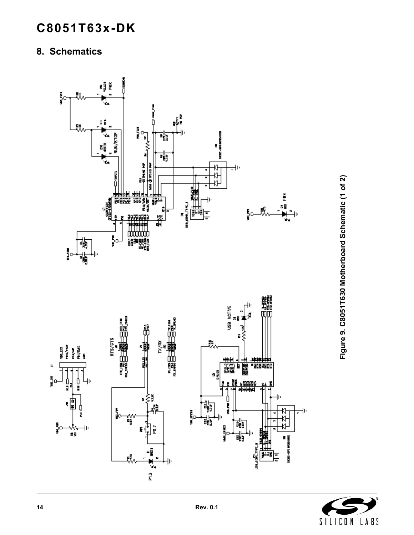# **8. Schematics**



Figure 9. C8051T630 Motherboard Schematic (1 of 2) **Figure 9. C8051T630 Motherboard Schematic (1 of 2)**

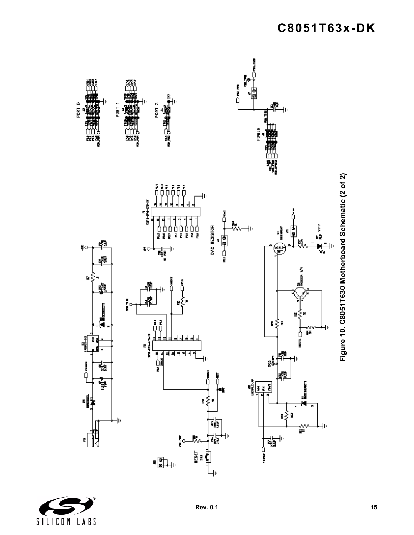

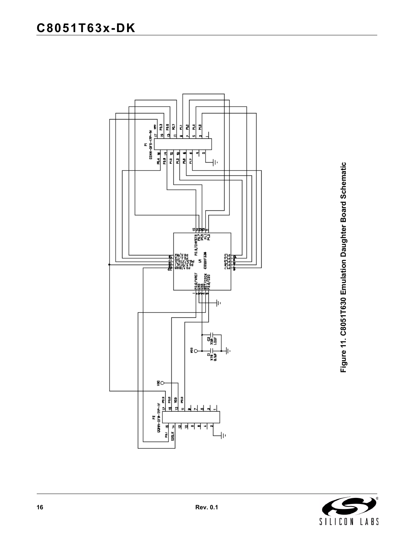

Figure 11. C8051T630 Emulation Daughter Board Schematic **Figure 11. C8051T630 Emulation Daughter Board Schematic**

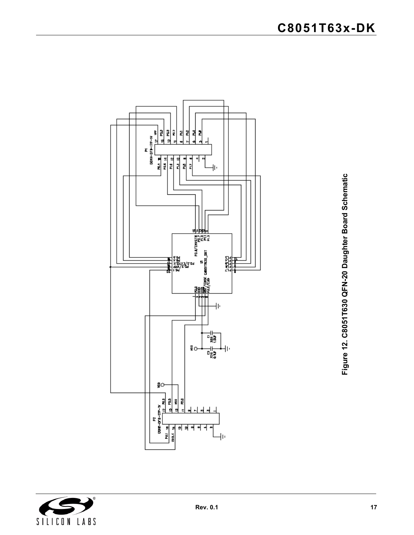